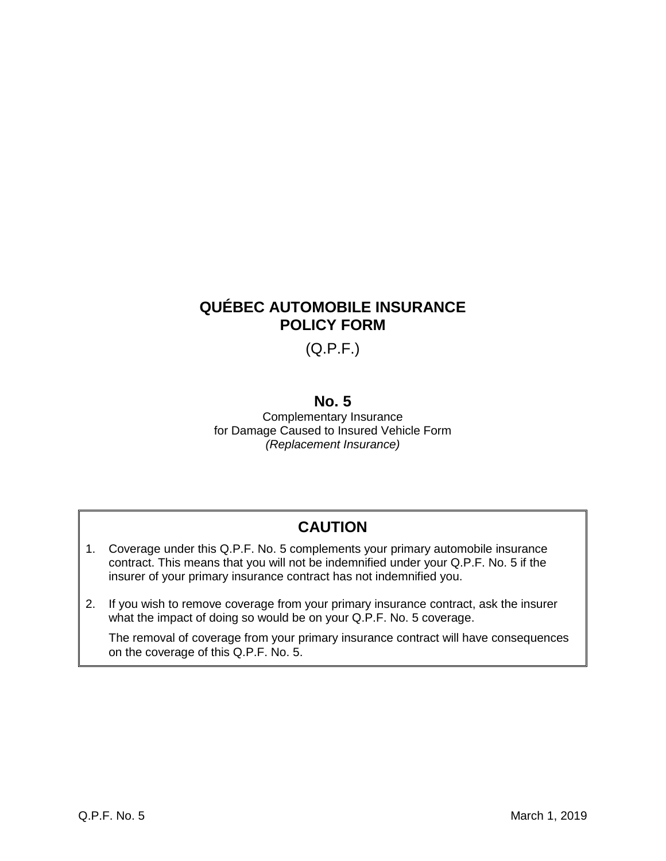# **QUÉBEC AUTOMOBILE INSURANCE POLICY FORM**

(Q.P.F.)

## **No. 5**

Complementary Insurance for Damage Caused to Insured Vehicle Form *(Replacement Insurance)*

# **CAUTION**

- 1. Coverage under this Q.P.F. No. 5 complements your primary automobile insurance contract. This means that you will not be indemnified under your Q.P.F. No. 5 if the insurer of your primary insurance contract has not indemnified you.
- 2. If you wish to remove coverage from your primary insurance contract, ask the insurer what the impact of doing so would be on your Q.P.F. No. 5 coverage.

The removal of coverage from your primary insurance contract will have consequences on the coverage of this Q.P.F. No. 5.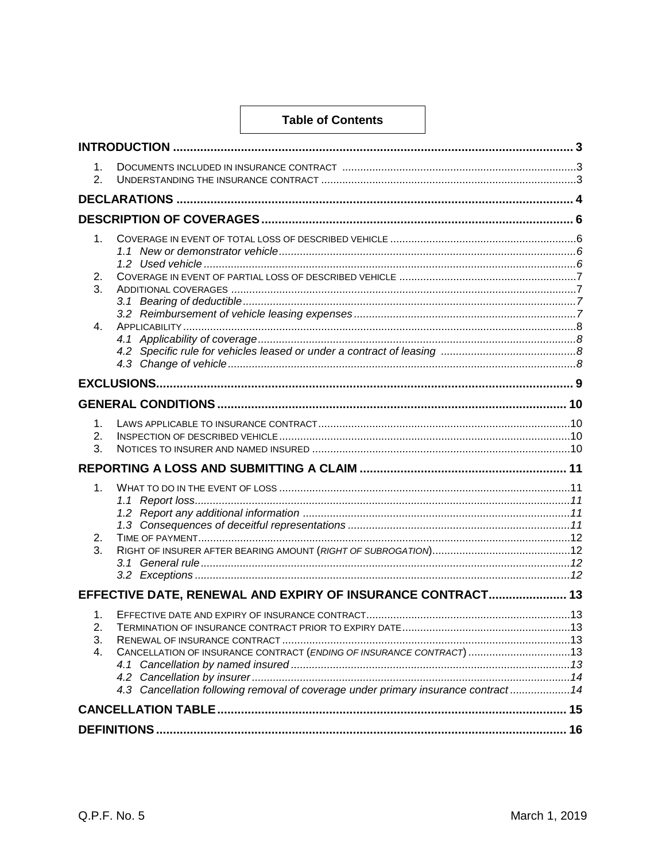### **Table of Contents**

| 1.<br>2.             |                                                                                                                                                             |  |  |  |  |  |
|----------------------|-------------------------------------------------------------------------------------------------------------------------------------------------------------|--|--|--|--|--|
|                      |                                                                                                                                                             |  |  |  |  |  |
|                      |                                                                                                                                                             |  |  |  |  |  |
| 1.<br>2.<br>3.       |                                                                                                                                                             |  |  |  |  |  |
| 4.                   |                                                                                                                                                             |  |  |  |  |  |
|                      |                                                                                                                                                             |  |  |  |  |  |
|                      |                                                                                                                                                             |  |  |  |  |  |
| 1.<br>2.<br>3.       |                                                                                                                                                             |  |  |  |  |  |
|                      |                                                                                                                                                             |  |  |  |  |  |
| 1.<br>2.<br>3.       |                                                                                                                                                             |  |  |  |  |  |
|                      | EFFECTIVE DATE, RENEWAL AND EXPIRY OF INSURANCE CONTRACT 13                                                                                                 |  |  |  |  |  |
| 1.<br>2.<br>3.<br>4. | CANCELLATION OF INSURANCE CONTRACT (ENDING OF INSURANCE CONTRACT) 13<br>4.3 Cancellation following removal of coverage under primary insurance contract  14 |  |  |  |  |  |
|                      |                                                                                                                                                             |  |  |  |  |  |
|                      |                                                                                                                                                             |  |  |  |  |  |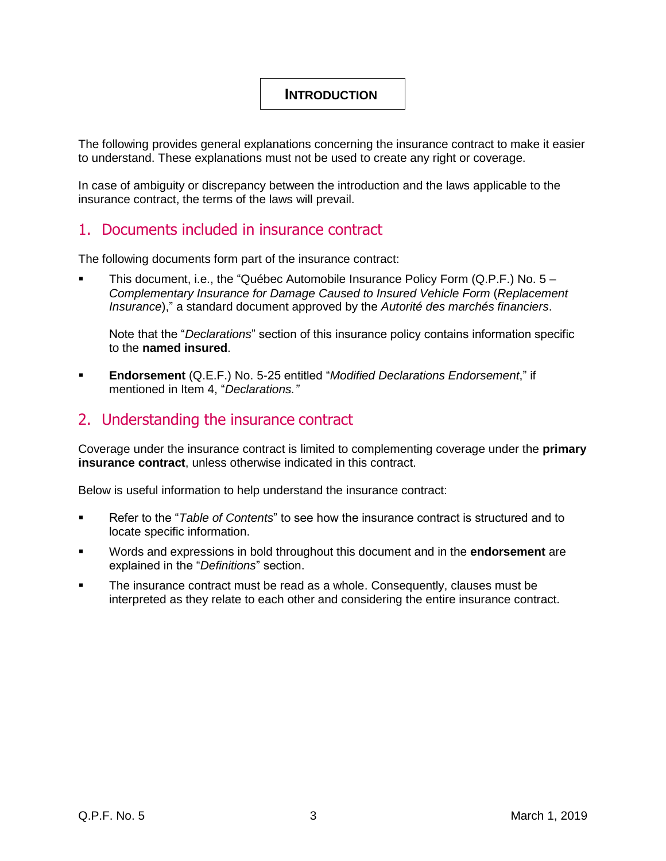## <span id="page-3-0"></span>**INTRODUCTION**

<span id="page-3-1"></span>The following provides general explanations concerning the insurance contract to make it easier to understand. These explanations must not be used to create any right or coverage.

In case of ambiguity or discrepancy between the introduction and the laws applicable to the insurance contract, the terms of the laws will prevail.

## 1. Documents included in insurance contract

The following documents form part of the insurance contract:

This document, i.e., the "Québec Automobile Insurance Policy Form  $(Q.P.F.)$  No.  $5 -$ *Complementary Insurance for Damage Caused to Insured Vehicle Form* (*Replacement Insurance*)," a standard document approved by the *Autorité des marchés financiers*.

Note that the "*Declarations*" section of this insurance policy contains information specific to the **named insured**.

▪ **Endorsement** (Q.E.F.) No. 5-25 entitled "*Modified Declarations Endorsement*," if mentioned in Item 4, "*Declarations."*

## <span id="page-3-2"></span>2. Understanding the insurance contract

Coverage under the insurance contract is limited to complementing coverage under the **primary insurance contract**, unless otherwise indicated in this contract.

Below is useful information to help understand the insurance contract:

- Refer to the "*Table of Contents*" to see how the insurance contract is structured and to locate specific information.
- Words and expressions in bold throughout this document and in the **endorsement** are explained in the "*Definitions*" section.
- The insurance contract must be read as a whole. Consequently, clauses must be interpreted as they relate to each other and considering the entire insurance contract.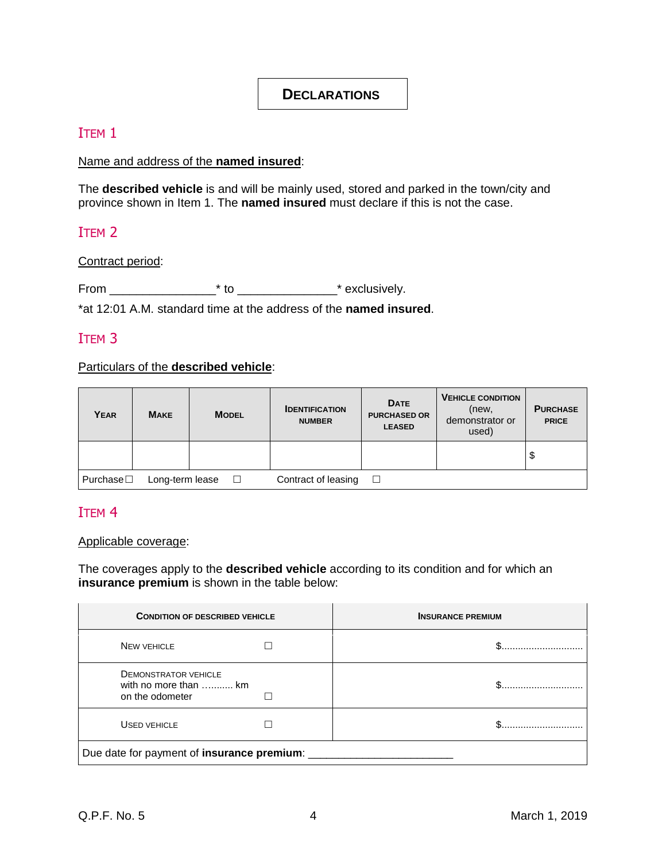## <span id="page-4-0"></span>**DECLARATIONS**

## ITEM 1

## Name and address of the **named insured**:

The **described vehicle** is and will be mainly used, stored and parked in the town/city and province shown in Item 1. The **named insured** must declare if this is not the case.

## ITEM 2

### Contract period:

From  $*$  to  $*$  exclusively.

\*at 12:01 A.M. standard time at the address of the **named insured**.

## ITEM 3

### Particulars of the **described vehicle**:

| YEAR                                                                   | <b>MAKE</b> | <b>MODEL</b> | <b>IDENTIFICATION</b><br><b>NUMBER</b> | <b>DATE</b><br><b>PURCHASED OR</b><br><b>LEASED</b> | <b>VEHICLE CONDITION</b><br>(new,<br>demonstrator or<br>used) | <b>PURCHASE</b><br><b>PRICE</b> |  |  |
|------------------------------------------------------------------------|-------------|--------------|----------------------------------------|-----------------------------------------------------|---------------------------------------------------------------|---------------------------------|--|--|
|                                                                        |             |              |                                        |                                                     |                                                               | Ψ                               |  |  |
| Purchase $\square$<br>Contract of leasing<br>Long-term lease<br>$\Box$ |             |              |                                        |                                                     |                                                               |                                 |  |  |

## ITEM 4

### Applicable coverage:

The coverages apply to the **described vehicle** according to its condition and for which an **insurance premium** is shown in the table below:

| <b>CONDITION OF DESCRIBED VEHICLE</b>                                   |  | <b>INSURANCE PREMIUM</b> |  |  |  |
|-------------------------------------------------------------------------|--|--------------------------|--|--|--|
| <b>NEW VEHICLE</b>                                                      |  |                          |  |  |  |
| <b>DEMONSTRATOR VEHICLE</b><br>with no more than  km<br>on the odometer |  |                          |  |  |  |
| USED VEHICLE                                                            |  |                          |  |  |  |
| Due date for payment of insurance premium: __                           |  |                          |  |  |  |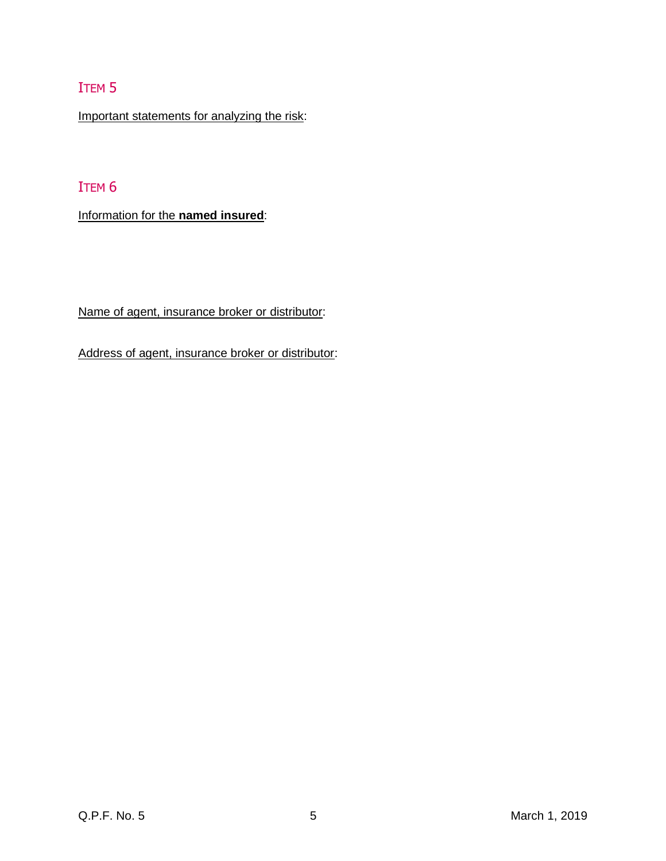# ITEM 5

Important statements for analyzing the risk:

# ITEM 6

Information for the **named insured**:

Name of agent, insurance broker or distributor:

Address of agent, insurance broker or distributor: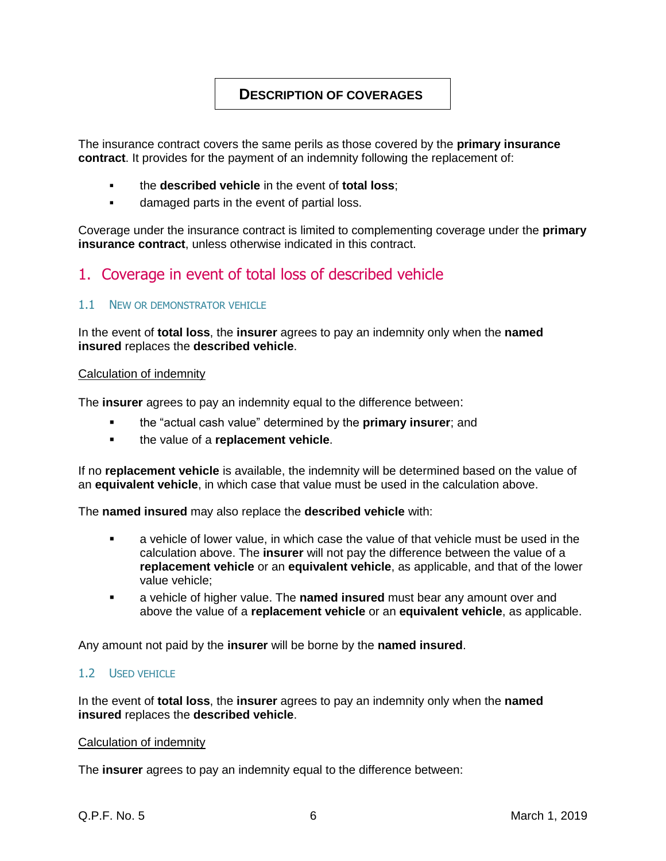## <span id="page-6-0"></span>**DESCRIPTION OF COVERAGES**

The insurance contract covers the same perils as those covered by the **primary insurance contract**. It provides for the payment of an indemnity following the replacement of:

- the **described vehicle** in the event of **total loss**;
- damaged parts in the event of partial loss.

Coverage under the insurance contract is limited to complementing coverage under the **primary insurance contract**, unless otherwise indicated in this contract.

# <span id="page-6-1"></span>1. Coverage in event of total loss of described vehicle

### <span id="page-6-2"></span>1.1 NEW OR DEMONSTRATOR VEHICLE

In the event of **total loss**, the **insurer** agrees to pay an indemnity only when the **named insured** replaces the **described vehicle**.

#### Calculation of indemnity

The **insurer** agrees to pay an indemnity equal to the difference between:

- the "actual cash value" determined by the **primary insurer**; and
- the value of a **replacement vehicle**.

If no **replacement vehicle** is available, the indemnity will be determined based on the value of an **equivalent vehicle**, in which case that value must be used in the calculation above.

The **named insured** may also replace the **described vehicle** with:

- a vehicle of lower value, in which case the value of that vehicle must be used in the calculation above. The **insurer** will not pay the difference between the value of a **replacement vehicle** or an **equivalent vehicle**, as applicable, and that of the lower value vehicle;
- a vehicle of higher value. The **named insured** must bear any amount over and above the value of a **replacement vehicle** or an **equivalent vehicle**, as applicable.

Any amount not paid by the **insurer** will be borne by the **named insured**.

### <span id="page-6-3"></span>1.2 USED VEHICLE

In the event of **total loss**, the **insurer** agrees to pay an indemnity only when the **named insured** replaces the **described vehicle**.

#### Calculation of indemnity

The **insurer** agrees to pay an indemnity equal to the difference between: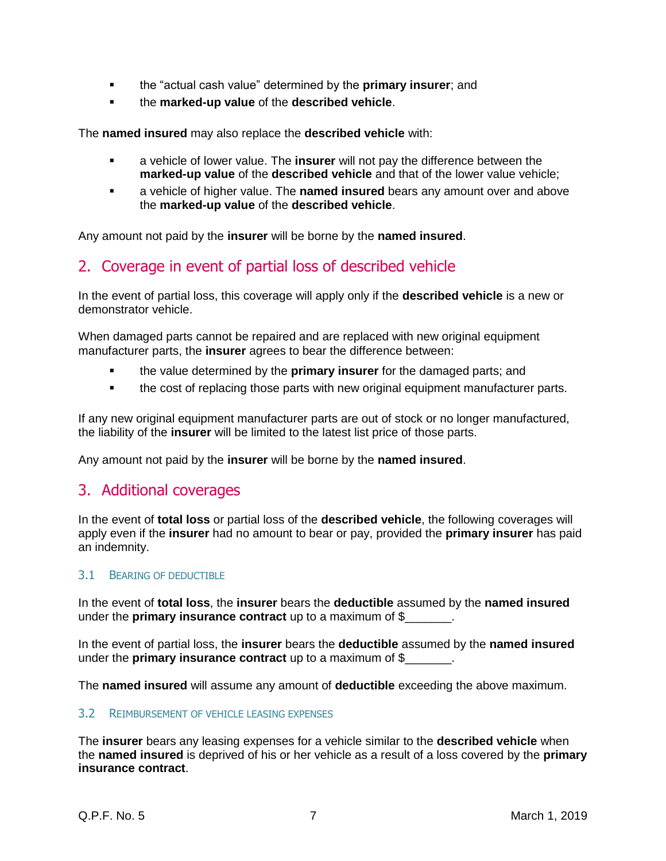- the "actual cash value" determined by the **primary insurer**; and
- the **marked-up value** of the **described vehicle**.

The **named insured** may also replace the **described vehicle** with:

- a vehicle of lower value. The **insurer** will not pay the difference between the **marked-up value** of the **described vehicle** and that of the lower value vehicle;
- a vehicle of higher value. The **named insured** bears any amount over and above the **marked-up value** of the **described vehicle**.

Any amount not paid by the **insurer** will be borne by the **named insured**.

## <span id="page-7-0"></span>2. Coverage in event of partial loss of described vehicle

In the event of partial loss, this coverage will apply only if the **described vehicle** is a new or demonstrator vehicle.

When damaged parts cannot be repaired and are replaced with new original equipment manufacturer parts, the **insurer** agrees to bear the difference between:

- the value determined by the **primary insurer** for the damaged parts; and
- the cost of replacing those parts with new original equipment manufacturer parts.

If any new original equipment manufacturer parts are out of stock or no longer manufactured, the liability of the **insurer** will be limited to the latest list price of those parts.

Any amount not paid by the **insurer** will be borne by the **named insured**.

## <span id="page-7-1"></span>3. Additional coverages

In the event of **total loss** or partial loss of the **described vehicle**, the following coverages will apply even if the **insurer** had no amount to bear or pay, provided the **primary insurer** has paid an indemnity.

### <span id="page-7-2"></span>3.1 BEARING OF DEDUCTIBLE

In the event of **total loss**, the **insurer** bears the **deductible** assumed by the **named insured** under the **primary insurance contract** up to a maximum of \$\_\_\_\_\_\_\_.

In the event of partial loss, the **insurer** bears the **deductible** assumed by the **named insured** under the **primary insurance contract** up to a maximum of \$\_\_\_\_\_\_\_.

The **named insured** will assume any amount of **deductible** exceeding the above maximum.

### <span id="page-7-3"></span>3.2 REIMBURSEMENT OF VEHICLE LEASING EXPENSES

The **insurer** bears any leasing expenses for a vehicle similar to the **described vehicle** when the **named insured** is deprived of his or her vehicle as a result of a loss covered by the **primary insurance contract**.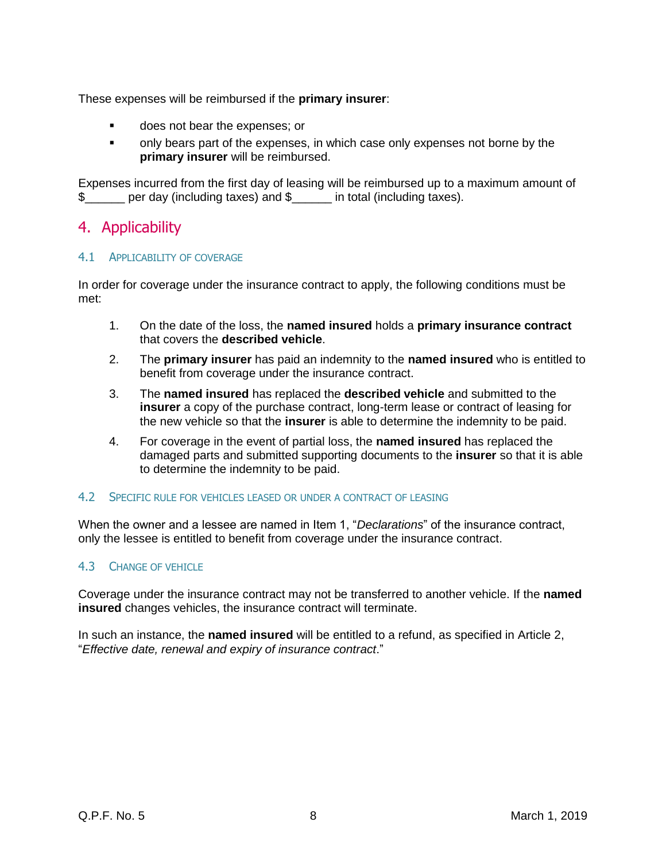These expenses will be reimbursed if the **primary insurer**:

- does not bear the expenses; or
- only bears part of the expenses, in which case only expenses not borne by the **primary insurer** will be reimbursed.

Expenses incurred from the first day of leasing will be reimbursed up to a maximum amount of \$ per day (including taxes) and \$ in total (including taxes).

## <span id="page-8-0"></span>4. Applicability

### <span id="page-8-1"></span>4.1 APPLICABILITY OF COVERAGE

In order for coverage under the insurance contract to apply, the following conditions must be met:

- 1. On the date of the loss, the **named insured** holds a **primary insurance contract** that covers the **described vehicle**.
- 2. The **primary insurer** has paid an indemnity to the **named insured** who is entitled to benefit from coverage under the insurance contract.
- 3. The **named insured** has replaced the **described vehicle** and submitted to the **insurer** a copy of the purchase contract, long-term lease or contract of leasing for the new vehicle so that the **insurer** is able to determine the indemnity to be paid.
- 4. For coverage in the event of partial loss, the **named insured** has replaced the damaged parts and submitted supporting documents to the **insurer** so that it is able to determine the indemnity to be paid.

### <span id="page-8-2"></span>4.2 SPECIFIC RULE FOR VEHICLES LEASED OR UNDER A CONTRACT OF LEASING

When the owner and a lessee are named in Item 1, "*Declarations*" of the insurance contract, only the lessee is entitled to benefit from coverage under the insurance contract.

### <span id="page-8-3"></span>4.3 CHANGE OF VEHICLE

Coverage under the insurance contract may not be transferred to another vehicle. If the **named insured** changes vehicles, the insurance contract will terminate.

In such an instance, the **named insured** will be entitled to a refund, as specified in Article 2, "*Effective date, renewal and expiry of insurance contract*."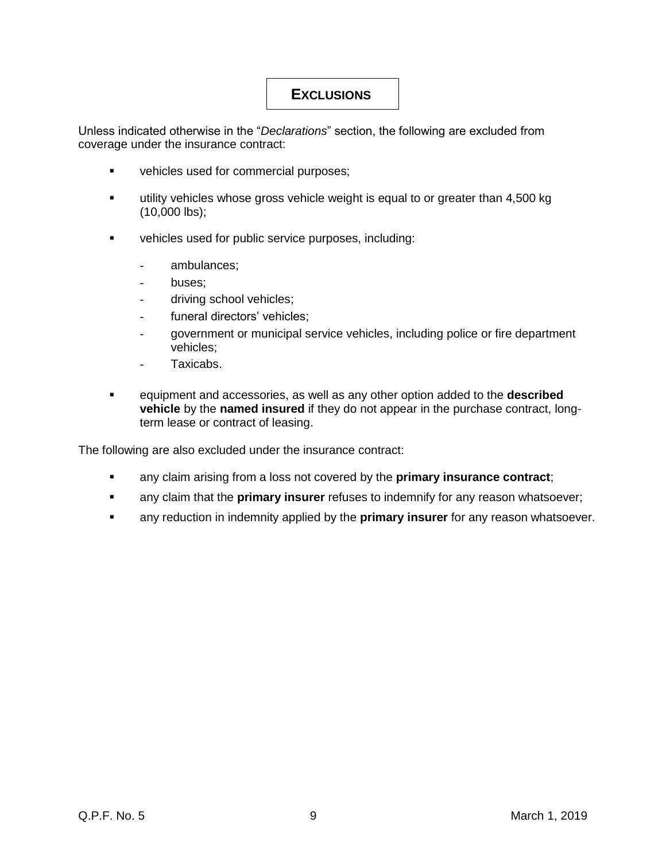# <span id="page-9-0"></span>**EXCLUSIONS**

Unless indicated otherwise in the "*Declarations*" section, the following are excluded from coverage under the insurance contract:

- vehicles used for commercial purposes;
- utility vehicles whose gross vehicle weight is equal to or greater than 4,500 kg (10,000 lbs);
- vehicles used for public service purposes, including:
	- ambulances;
	- buses;
	- driving school vehicles;
	- funeral directors' vehicles;
	- government or municipal service vehicles, including police or fire department vehicles;
	- Taxicabs.
- equipment and accessories, as well as any other option added to the **described vehicle** by the **named insured** if they do not appear in the purchase contract, longterm lease or contract of leasing.

The following are also excluded under the insurance contract:

- any claim arising from a loss not covered by the **primary insurance contract**;
- **EXED any claim that the primary insurer** refuses to indemnify for any reason whatsoever;
- any reduction in indemnity applied by the **primary insurer** for any reason whatsoever.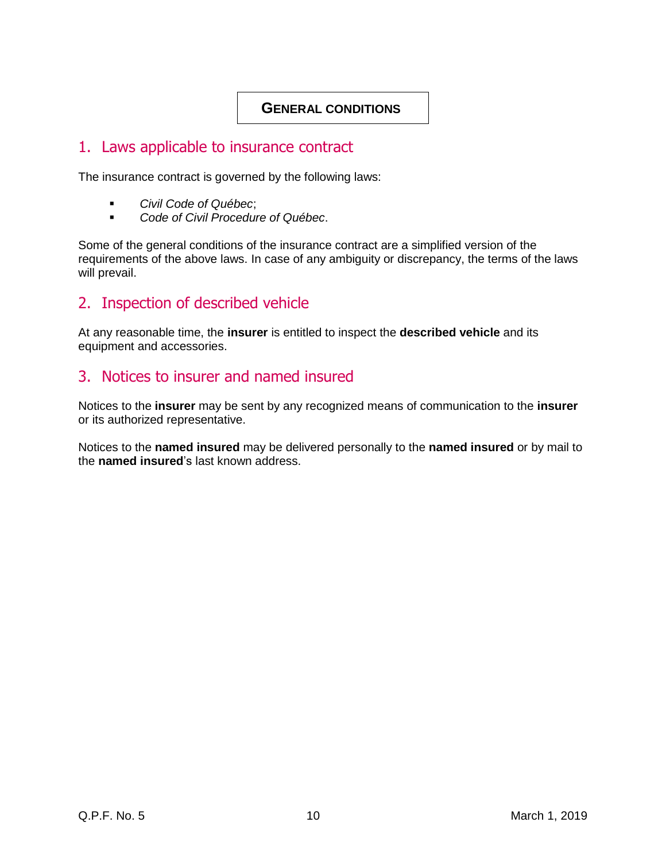## <span id="page-10-0"></span>**GENERAL CONDITIONS**

## <span id="page-10-1"></span>1. Laws applicable to insurance contract

The insurance contract is governed by the following laws:

- *Civil Code of Québec*;
- *Code of Civil Procedure of Québec*.

Some of the general conditions of the insurance contract are a simplified version of the requirements of the above laws. In case of any ambiguity or discrepancy, the terms of the laws will prevail.

# <span id="page-10-2"></span>2. Inspection of described vehicle

At any reasonable time, the **insurer** is entitled to inspect the **described vehicle** and its equipment and accessories.

# <span id="page-10-3"></span>3. Notices to insurer and named insured

Notices to the **insurer** may be sent by any recognized means of communication to the **insurer** or its authorized representative.

Notices to the **named insured** may be delivered personally to the **named insured** or by mail to the **named insured**'s last known address.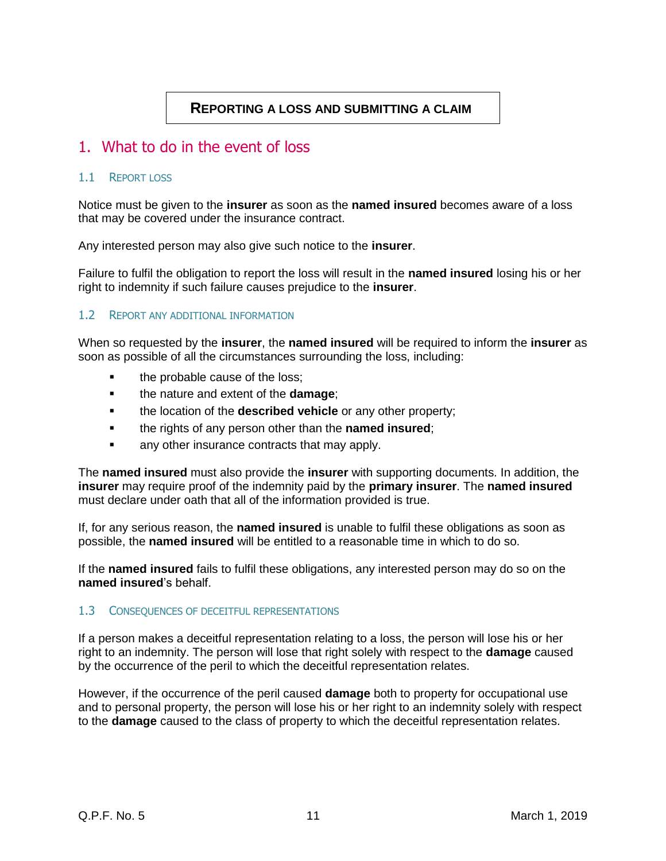## **REPORTING A LOSS AND SUBMITTING A CLAIM**

## <span id="page-11-1"></span><span id="page-11-0"></span>1. What to do in the event of loss

### <span id="page-11-2"></span>1.1 REPORT LOSS

Notice must be given to the **insurer** as soon as the **named insured** becomes aware of a loss that may be covered under the insurance contract.

Any interested person may also give such notice to the **insurer**.

Failure to fulfil the obligation to report the loss will result in the **named insured** losing his or her right to indemnity if such failure causes prejudice to the **insurer**.

### 1.2 REPORT ANY ADDITIONAL INFORMATION

When so requested by the **insurer**, the **named insured** will be required to inform the **insurer** as soon as possible of all the circumstances surrounding the loss, including:

- the probable cause of the loss;
- the nature and extent of the **damage**;
- the location of the **described vehicle** or any other property;
- the rights of any person other than the **named insured**;
- any other insurance contracts that may apply.

The **named insured** must also provide the **insurer** with supporting documents. In addition, the **insurer** may require proof of the indemnity paid by the **primary insurer**. The **named insured** must declare under oath that all of the information provided is true.

If, for any serious reason, the **named insured** is unable to fulfil these obligations as soon as possible, the **named insured** will be entitled to a reasonable time in which to do so.

If the **named insured** fails to fulfil these obligations, any interested person may do so on the **named insured**'s behalf.

### <span id="page-11-3"></span>1.3 CONSEQUENCES OF DECEITFUL REPRESENTATIONS

If a person makes a deceitful representation relating to a loss, the person will lose his or her right to an indemnity. The person will lose that right solely with respect to the **damage** caused by the occurrence of the peril to which the deceitful representation relates.

However, if the occurrence of the peril caused **damage** both to property for occupational use and to personal property, the person will lose his or her right to an indemnity solely with respect to the **damage** caused to the class of property to which the deceitful representation relates.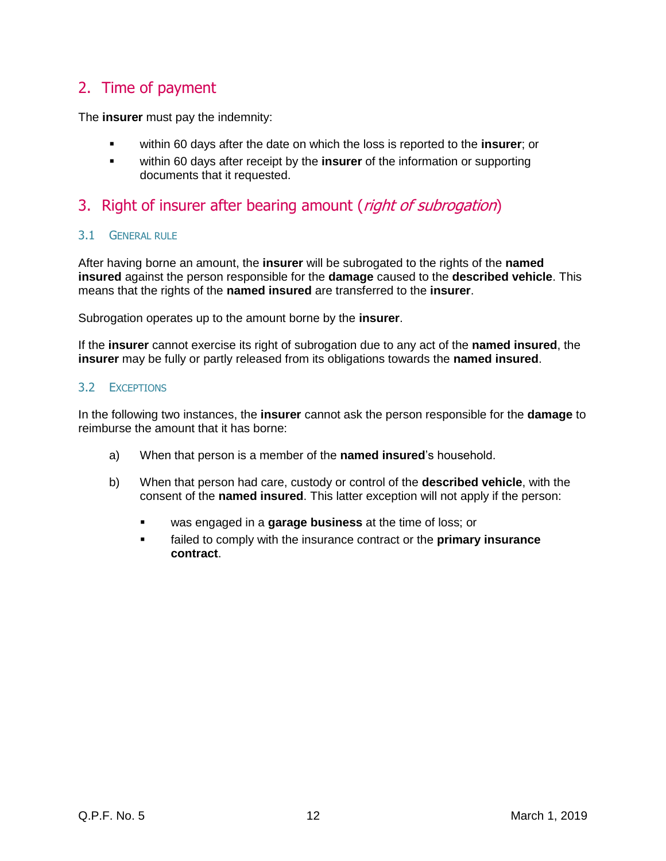# <span id="page-12-0"></span>2. Time of payment

The **insurer** must pay the indemnity:

- within 60 days after the date on which the loss is reported to the **insurer**; or
- within 60 days after receipt by the **insurer** of the information or supporting documents that it requested.

# <span id="page-12-1"></span>3. Right of insurer after bearing amount (*right of subrogation*)

### <span id="page-12-2"></span>3.1 GENERAL RULE

After having borne an amount, the **insurer** will be subrogated to the rights of the **named insured** against the person responsible for the **damage** caused to the **described vehicle**. This means that the rights of the **named insured** are transferred to the **insurer**.

Subrogation operates up to the amount borne by the **insurer**.

If the **insurer** cannot exercise its right of subrogation due to any act of the **named insured**, the **insurer** may be fully or partly released from its obligations towards the **named insured**.

### <span id="page-12-3"></span>3.2 EXCEPTIONS

In the following two instances, the **insurer** cannot ask the person responsible for the **damage** to reimburse the amount that it has borne:

- a) When that person is a member of the **named insured**'s household.
- b) When that person had care, custody or control of the **described vehicle**, with the consent of the **named insured**. This latter exception will not apply if the person:
	- was engaged in a **garage business** at the time of loss; or
	- failed to comply with the insurance contract or the **primary insurance contract**.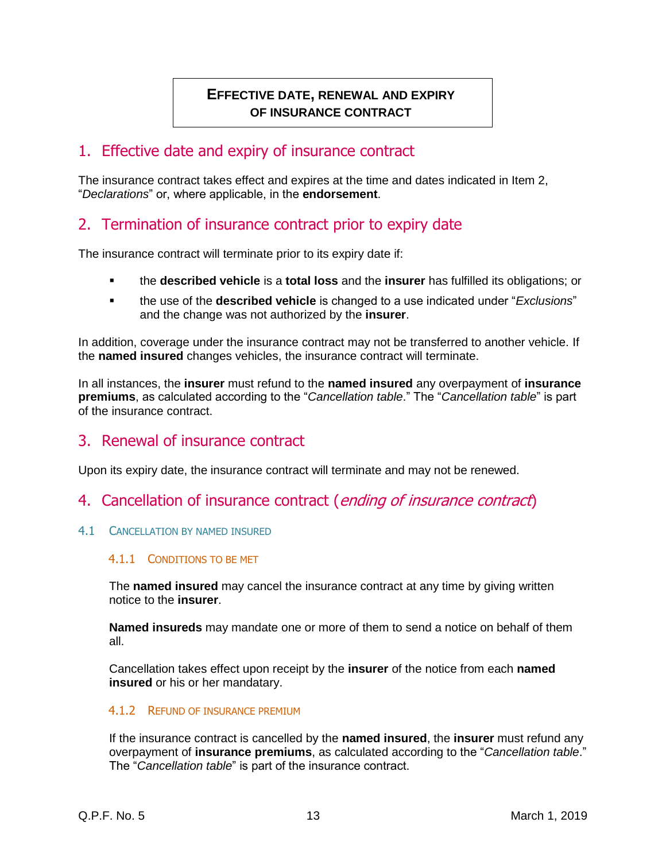# <span id="page-13-0"></span>**EFFECTIVE DATE, RENEWAL AND EXPIRY OF INSURANCE CONTRACT**

## <span id="page-13-1"></span>1. Effective date and expiry of insurance contract

The insurance contract takes effect and expires at the time and dates indicated in Item 2, "*Declarations*" or, where applicable, in the **endorsement**.

# <span id="page-13-2"></span>2. Termination of insurance contract prior to expiry date

The insurance contract will terminate prior to its expiry date if:

- the **described vehicle** is a **total loss** and the **insurer** has fulfilled its obligations; or
- the use of the **described vehicle** is changed to a use indicated under "*Exclusions*" and the change was not authorized by the **insurer**.

In addition, coverage under the insurance contract may not be transferred to another vehicle. If the **named insured** changes vehicles, the insurance contract will terminate.

In all instances, the **insurer** must refund to the **named insured** any overpayment of **insurance premiums**, as calculated according to the "*Cancellation table*." The "*Cancellation table*" is part of the insurance contract.

# <span id="page-13-3"></span>3. Renewal of insurance contract

Upon its expiry date, the insurance contract will terminate and may not be renewed.

- <span id="page-13-4"></span>4. Cancellation of insurance contract (ending of insurance contract)
- <span id="page-13-5"></span>4.1 CANCELLATION BY NAMED INSURED

### 4.1.1 CONDITIONS TO BE MET

The **named insured** may cancel the insurance contract at any time by giving written notice to the **insurer**.

**Named insureds** may mandate one or more of them to send a notice on behalf of them all.

Cancellation takes effect upon receipt by the **insurer** of the notice from each **named insured** or his or her mandatary.

### 4.1.2 REFUND OF INSURANCE PREMIUM

If the insurance contract is cancelled by the **named insured**, the **insurer** must refund any overpayment of **insurance premiums**, as calculated according to the "*Cancellation table*." The "*Cancellation table*" is part of the insurance contract.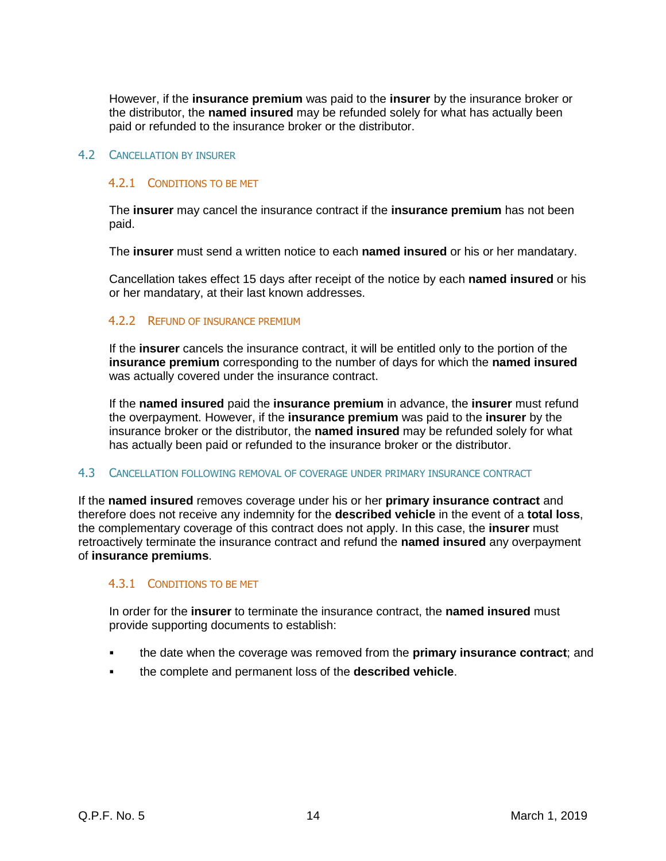However, if the **insurance premium** was paid to the **insurer** by the insurance broker or the distributor, the **named insured** may be refunded solely for what has actually been paid or refunded to the insurance broker or the distributor.

### <span id="page-14-0"></span>4.2 CANCELLATION BY INSURER

### 4.2.1 CONDITIONS TO BE MET

The **insurer** may cancel the insurance contract if the **insurance premium** has not been paid.

The **insurer** must send a written notice to each **named insured** or his or her mandatary.

Cancellation takes effect 15 days after receipt of the notice by each **named insured** or his or her mandatary, at their last known addresses.

### 4.2.2 REFUND OF INSURANCE PREMIUM

If the **insurer** cancels the insurance contract, it will be entitled only to the portion of the **insurance premium** corresponding to the number of days for which the **named insured** was actually covered under the insurance contract.

If the **named insured** paid the **insurance premium** in advance, the **insurer** must refund the overpayment. However, if the **insurance premium** was paid to the **insurer** by the insurance broker or the distributor, the **named insured** may be refunded solely for what has actually been paid or refunded to the insurance broker or the distributor.

### <span id="page-14-1"></span>4.3 CANCELLATION FOLLOWING REMOVAL OF COVERAGE UNDER PRIMARY INSURANCE CONTRACT

If the **named insured** removes coverage under his or her **primary insurance contract** and therefore does not receive any indemnity for the **described vehicle** in the event of a **total loss**, the complementary coverage of this contract does not apply. In this case, the **insurer** must retroactively terminate the insurance contract and refund the **named insured** any overpayment of **insurance premiums**.

### 4.3.1 CONDITIONS TO BE MET

In order for the **insurer** to terminate the insurance contract, the **named insured** must provide supporting documents to establish:

- the date when the coverage was removed from the **primary insurance contract**; and
- the complete and permanent loss of the **described vehicle**.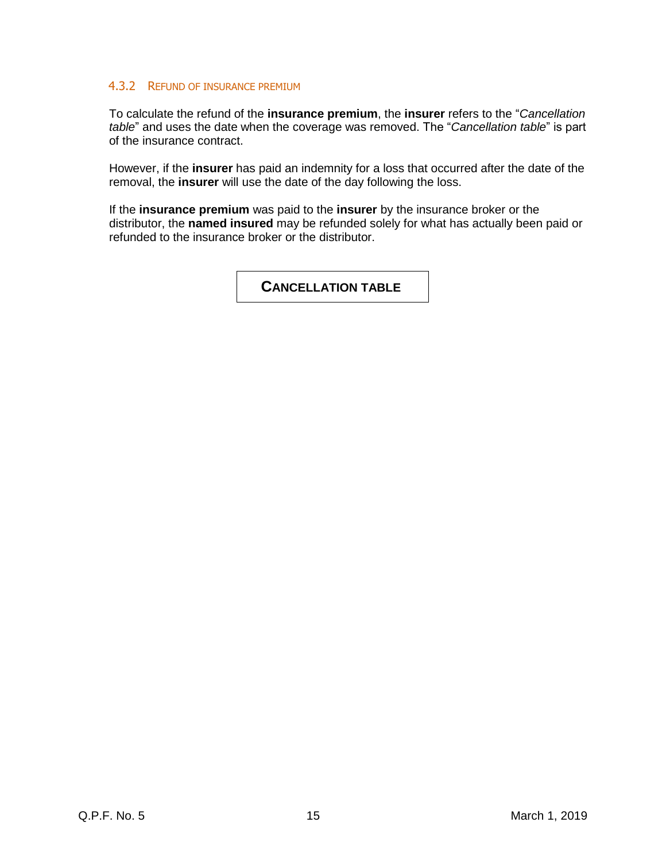### 4.3.2 REFUND OF INSURANCE PREMIUM

To calculate the refund of the **insurance premium**, the **insurer** refers to the "*Cancellation table*" and uses the date when the coverage was removed. The "*Cancellation table*" is part of the insurance contract.

However, if the **insurer** has paid an indemnity for a loss that occurred after the date of the removal, the **insurer** will use the date of the day following the loss.

If the **insurance premium** was paid to the **insurer** by the insurance broker or the distributor, the **named insured** may be refunded solely for what has actually been paid or refunded to the insurance broker or the distributor.

<span id="page-15-0"></span>**CANCELLATION TABLE**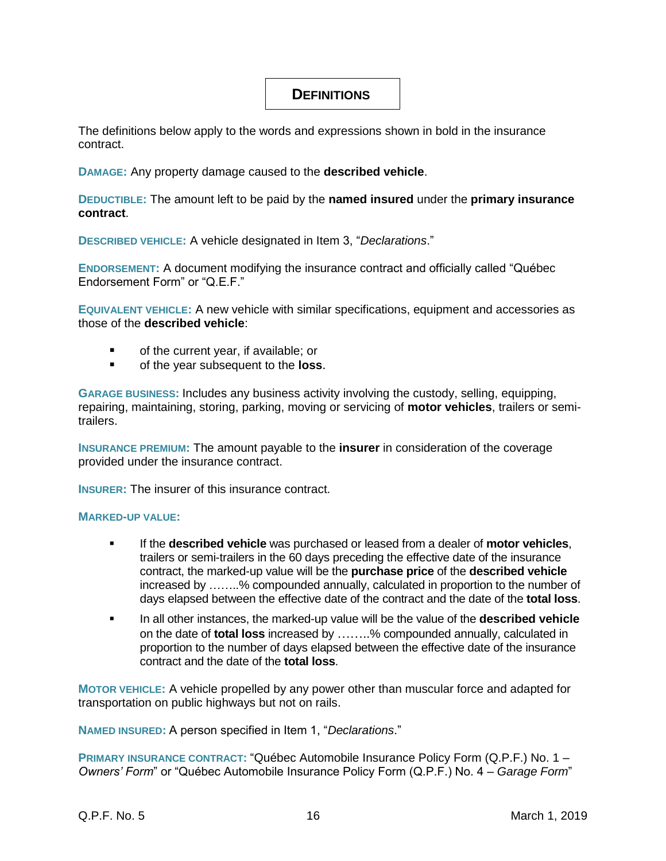## <span id="page-16-0"></span>**DEFINITIONS**

The definitions below apply to the words and expressions shown in bold in the insurance contract.

**DAMAGE:** Any property damage caused to the **described vehicle**.

**DEDUCTIBLE:** The amount left to be paid by the **named insured** under the **primary insurance contract**.

**DESCRIBED VEHICLE:** A vehicle designated in Item 3, "*Declarations*."

**ENDORSEMENT:** A document modifying the insurance contract and officially called "Québec Endorsement Form" or "Q.E.F."

**EQUIVALENT VEHICLE:** A new vehicle with similar specifications, equipment and accessories as those of the **described vehicle**:

- of the current year, if available; or
- **of the year subsequent to the loss.**

**GARAGE BUSINESS:** Includes any business activity involving the custody, selling, equipping, repairing, maintaining, storing, parking, moving or servicing of **motor vehicles**, trailers or semitrailers.

**INSURANCE PREMIUM:** The amount payable to the **insurer** in consideration of the coverage provided under the insurance contract.

**INSURER:** The insurer of this insurance contract.

### **MARKED-UP VALUE:**

- If the **described vehicle** was purchased or leased from a dealer of **motor vehicles**, trailers or semi-trailers in the 60 days preceding the effective date of the insurance contract, the marked-up value will be the **purchase price** of the **described vehicle** increased by ……..% compounded annually, calculated in proportion to the number of days elapsed between the effective date of the contract and the date of the **total loss**.
- In all other instances, the marked-up value will be the value of the **described vehicle** on the date of **total loss** increased by ……..% compounded annually, calculated in proportion to the number of days elapsed between the effective date of the insurance contract and the date of the **total loss**.

**MOTOR VEHICLE:** A vehicle propelled by any power other than muscular force and adapted for transportation on public highways but not on rails.

**NAMED INSURED:** A person specified in Item 1, "*Declarations*."

**PRIMARY INSURANCE CONTRACT:** "Québec Automobile Insurance Policy Form (Q.P.F.) No. 1 – *Owners' Form*" or "Québec Automobile Insurance Policy Form (Q.P.F.) No. 4 – *Garage Form*"